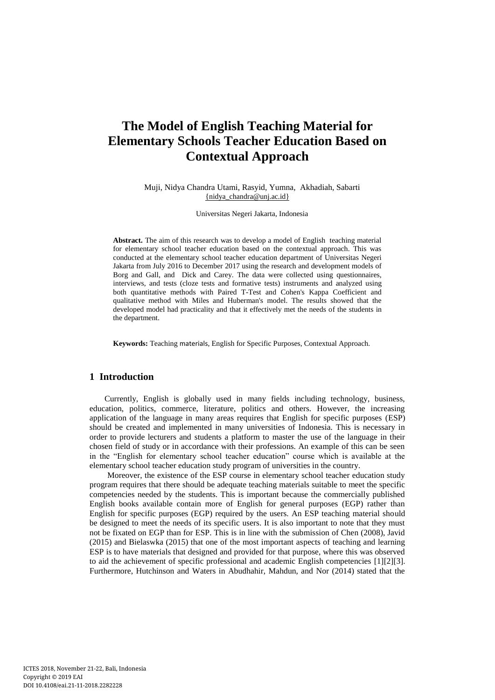# **The Model of English Teaching Material for Elementary Schools Teacher Education Based on Contextual Approach**

Muji, Nidya Chandra Utami, Rasyid, Yumna, Akhadiah, Sabarti [{nidya\\_chandra@unj.ac.id}](mailto:%7Bnidya_chandra@unj.ac.id%7D)

Universitas Negeri Jakarta, Indonesia

**Abstract.** The aim of this research was to develop a model of English teaching material for elementary school teacher education based on the contextual approach. This was conducted at the elementary school teacher education department of Universitas Negeri Jakarta from July 2016 to December 2017 using the research and development models of Borg and Gall, and Dick and Carey. The data were collected using questionnaires, interviews, and tests (cloze tests and formative tests) instruments and analyzed using both quantitative methods with Paired T-Test and Cohen's Kappa Coefficient and qualitative method with Miles and Huberman's model. The results showed that the developed model had practicality and that it effectively met the needs of the students in the department.

**Keywords:** Teaching materials, English for Specific Purposes, Contextual Approach.

# **1 Introduction**

Currently, English is globally used in many fields including technology, business, education, politics, commerce, literature, politics and others. However, the increasing application of the language in many areas requires that English for specific purposes (ESP) should be created and implemented in many universities of Indonesia. This is necessary in order to provide lecturers and students a platform to master the use of the language in their chosen field of study or in accordance with their professions. An example of this can be seen in the "English for elementary school teacher education" course which is available at the elementary school teacher education study program of universities in the country.

Moreover, the existence of the ESP course in elementary school teacher education study program requires that there should be adequate teaching materials suitable to meet the specific competencies needed by the students. This is important because the commercially published English books available contain more of English for general purposes (EGP) rather than English for specific purposes (EGP) required by the users. An ESP teaching material should be designed to meet the needs of its specific users. It is also important to note that they must not be fixated on EGP than for ESP. This is in line with the submission of Chen (2008), Javid (2015) and Bielaswka (2015) that one of the most important aspects of teaching and learning ESP is to have materials that designed and provided for that purpose, where this was observed to aid the achievement of specific professional and academic English competencies [1][2][3]. Furthermore, Hutchinson and Waters in Abudhahir, Mahdun, and Nor (2014) stated that the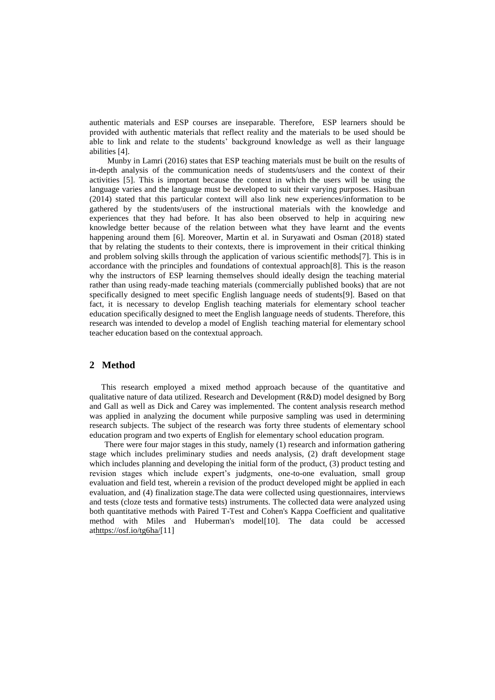authentic materials and ESP courses are inseparable. Therefore, ESP learners should be provided with authentic materials that reflect reality and the materials to be used should be able to link and relate to the students' background knowledge as well as their language abilities [4].

Munby in Lamri (2016) states that ESP teaching materials must be built on the results of in-depth analysis of the communication needs of students/users and the context of their activities [5]. This is important because the context in which the users will be using the language varies and the language must be developed to suit their varying purposes. Hasibuan (2014) stated that this particular context will also link new experiences/information to be gathered by the students/users of the instructional materials with the knowledge and experiences that they had before. It has also been observed to help in acquiring new knowledge better because of the relation between what they have learnt and the events happening around them [6]. Moreover, Martin et al. in Suryawati and Osman (2018) stated that by relating the students to their contexts, there is improvement in their critical thinking and problem solving skills through the application of various scientific methods[7]. This is in accordance with the principles and foundations of contextual approach[8]. This is the reason why the instructors of ESP learning themselves should ideally design the teaching material rather than using ready-made teaching materials (commercially published books) that are not specifically designed to meet specific English language needs of students[9]. Based on that fact, it is necessary to develop English teaching materials for elementary school teacher education specifically designed to meet the English language needs of students. Therefore, this research was intended to develop a model of English teaching material for elementary school teacher education based on the contextual approach.

### **2 Method**

This research employed a mixed method approach because of the quantitative and qualitative nature of data utilized. Research and Development (R&D) model designed by Borg and Gall as well as Dick and Carey was implemented. The content analysis research method was applied in analyzing the document while purposive sampling was used in determining research subjects. The subject of the research was forty three students of elementary school education program and two experts of English for elementary school education program.

There were four major stages in this study, namely (1) research and information gathering stage which includes preliminary studies and needs analysis, (2) draft development stage which includes planning and developing the initial form of the product, (3) product testing and revision stages which include expert's judgments, one-to-one evaluation, small group evaluation and field test, wherein a revision of the product developed might be applied in each evaluation, and (4) finalization stage.The data were collected using questionnaires, interviews and tests (cloze tests and formative tests) instruments. The collected data were analyzed using both quantitative methods with Paired T-Test and Cohen's Kappa Coefficient and qualitative method with Miles and Huberman's model[10]. The data could be accessed a[thttps://osf.io/tg6ha/\[](https://osf.io/tg6ha/)11]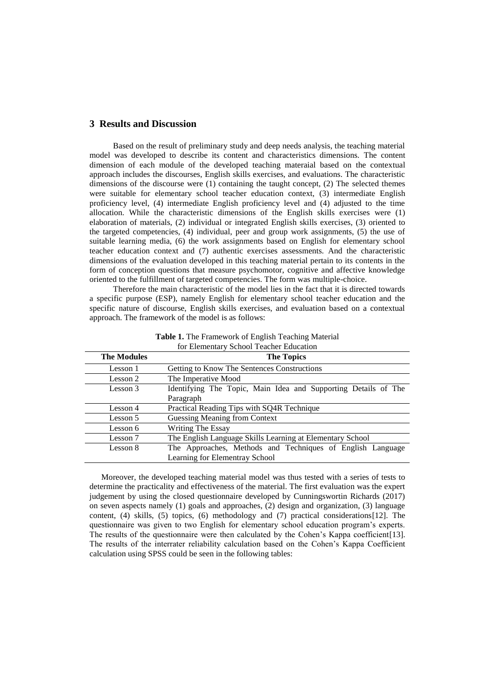### **3 Results and Discussion**

Based on the result of preliminary study and deep needs analysis, the teaching material model was developed to describe its content and characteristics dimensions. The content dimension of each module of the developed teaching materaial based on the contextual approach includes the discourses, English skills exercises, and evaluations. The characteristic dimensions of the discourse were (1) containing the taught concept, (2) The selected themes were suitable for elementary school teacher education context, (3) intermediate English proficiency level, (4) intermediate English proficiency level and (4) adjusted to the time allocation. While the characteristic dimensions of the English skills exercises were (1) elaboration of materials, (2) individual or integrated English skills exercises, (3) oriented to the targeted competencies, (4) individual, peer and group work assignments, (5) the use of suitable learning media, (6) the work assignments based on English for elementary school teacher education context and (7) authentic exercises assessments. And the characteristic dimensions of the evaluation developed in this teaching material pertain to its contents in the form of conception questions that measure psychomotor, cognitive and affective knowledge oriented to the fulfillment of targeted competencies. The form was multiple-choice.

Therefore the main characteristic of the model lies in the fact that it is directed towards a specific purpose (ESP), namely English for elementary school teacher education and the specific nature of discourse, English skills exercises, and evaluation based on a contextual approach. The framework of the model is as follows:

| <b>The Modules</b> | <b>The Topics</b>                                              |  |  |  |  |  |  |
|--------------------|----------------------------------------------------------------|--|--|--|--|--|--|
| Lesson 1           | Getting to Know The Sentences Constructions                    |  |  |  |  |  |  |
| Lesson 2           | The Imperative Mood                                            |  |  |  |  |  |  |
| Lesson 3           | Identifying The Topic, Main Idea and Supporting Details of The |  |  |  |  |  |  |
|                    | Paragraph                                                      |  |  |  |  |  |  |
| Lesson 4           | Practical Reading Tips with SQ4R Technique                     |  |  |  |  |  |  |
| Lesson 5           | Guessing Meaning from Context                                  |  |  |  |  |  |  |
| Lesson 6           | Writing The Essay                                              |  |  |  |  |  |  |
| Lesson 7           | The English Language Skills Learning at Elementary School      |  |  |  |  |  |  |
| Lesson 8           | The Approaches, Methods and Techniques of English Language     |  |  |  |  |  |  |
|                    | Learning for Elementray School                                 |  |  |  |  |  |  |

**Table 1.** The Framework of English Teaching Material for Elementary School Teacher Education

Moreover, the developed teaching material model was thus tested with a series of tests to determine the practicality and effectiveness of the material. The first evaluation was the expert judgement by using the closed questionnaire developed by Cunningswortin Richards (2017) on seven aspects namely (1) goals and approaches, (2) design and organization, (3) language content, (4) skills, (5) topics, (6) methodology and (7) practical considerations[12]. The questionnaire was given to two English for elementary school education program's experts. The results of the questionnaire were then calculated by the Cohen's Kappa coefficient[13]. The results of the interrater reliability calculation based on the Cohen's Kappa Coefficient calculation using SPSS could be seen in the following tables: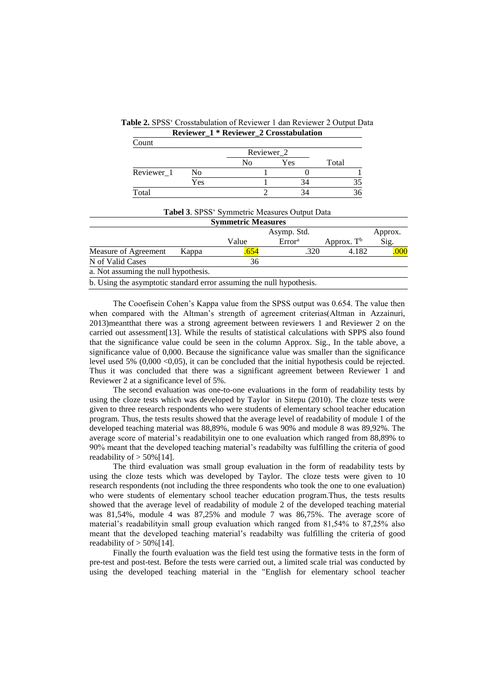|                                                                      |                | Reviewer_1 * Reviewer_2 Crosstabulation                                            |                    |      |                        |         |
|----------------------------------------------------------------------|----------------|------------------------------------------------------------------------------------|--------------------|------|------------------------|---------|
| Count                                                                |                |                                                                                    |                    |      |                        |         |
|                                                                      |                | Reviewer_2                                                                         |                    |      |                        |         |
|                                                                      |                | N <sub>0</sub>                                                                     | Yes                |      | Total                  |         |
| Reviewer 1                                                           | N <sub>0</sub> |                                                                                    |                    |      |                        |         |
|                                                                      | Yes            |                                                                                    |                    | 34   | 35                     |         |
| Total                                                                |                | 2                                                                                  |                    | 34   | 36                     |         |
|                                                                      |                | <b>Tabel 3. SPSS</b> ' Symmetric Measures Output Data<br><b>Symmetric Measures</b> |                    |      |                        |         |
|                                                                      | Asymp. Std.    |                                                                                    |                    |      |                        | Approx. |
|                                                                      |                | Value                                                                              | Error <sup>a</sup> |      | Approx. T <sup>b</sup> | Sig.    |
| Measure of Agreement                                                 | Kappa          | .654                                                                               |                    | .320 | 4.182                  | .000    |
| N of Valid Cases                                                     |                | 36                                                                                 |                    |      |                        |         |
| a. Not assuming the null hypothesis.                                 |                |                                                                                    |                    |      |                        |         |
| b. Using the asymptotic standard error assuming the null hypothesis. |                |                                                                                    |                    |      |                        |         |

**Table 2.** SPSS' Crosstabulation of Reviewer 1 dan Reviewer 2 Output Data

The Cooefisein Cohen's Kappa value from the SPSS output was 0.654. The value then when compared with the Altman's strength of agreement criterias(Altman in Azzainuri, 2013)meantthat there was a strong agreement between reviewers 1 and Reviewer 2 on the carried out assessment[13]. While the results of statistical calculations with SPPS also found that the significance value could be seen in the column Approx. Sig., In the table above, a significance value of 0,000. Because the significance value was smaller than the significance level used 5%  $(0,000 \le 0,05)$ , it can be concluded that the initial hypothesis could be rejected. Thus it was concluded that there was a significant agreement between Reviewer 1 and Reviewer 2 at a significance level of 5%.

The second evaluation was one-to-one evaluations in the form of readability tests by using the cloze tests which was developed by Taylor in Sitepu (2010). The cloze tests were given to three research respondents who were students of elementary school teacher education program. Thus, the tests results showed that the average level of readability of module 1 of the developed teaching material was 88,89%, module 6 was 90% and module 8 was 89,92%. The average score of material's readabilityin one to one evaluation which ranged from 88,89% to 90% meant that the developed teaching material's readabilty was fulfilling the criteria of good readability of  $> 50\%$  [14].

The third evaluation was small group evaluation in the form of readability tests by using the cloze tests which was developed by Taylor. The cloze tests were given to 10 research respondents (not including the three respondents who took the one to one evaluation) who were students of elementary school teacher education program.Thus, the tests results showed that the average level of readability of module 2 of the developed teaching material was 81,54%, module 4 was 87,25% and module 7 was 86,75%. The average score of material's readabilityin small group evaluation which ranged from 81,54% to 87,25% also meant that the developed teaching material's readabilty was fulfilling the criteria of good readability of  $> 50\%$  [14].

Finally the fourth evaluation was the field test using the formative tests in the form of pre-test and post-test. Before the tests were carried out, a limited scale trial was conducted by using the developed teaching material in the "English for elementary school teacher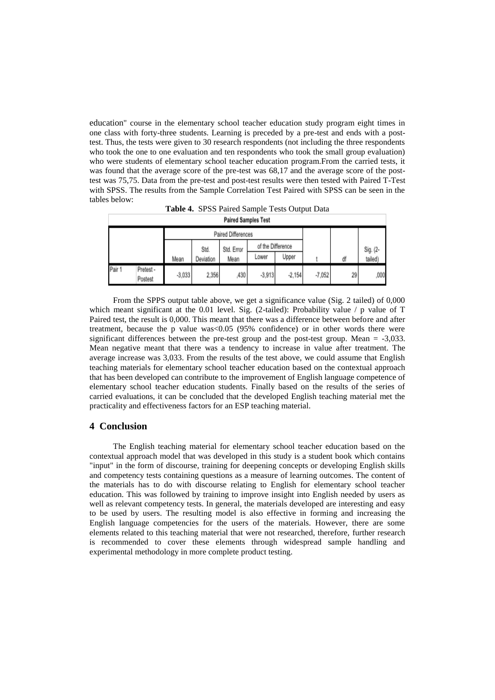education" course in the elementary school teacher education study program eight times in one class with forty-three students. Learning is preceded by a pre-test and ends with a posttest. Thus, the tests were given to 30 research respondents (not including the three respondents who took the one to one evaluation and ten respondents who took the small group evaluation) who were students of elementary school teacher education program.From the carried tests, it was found that the average score of the pre-test was 68,17 and the average score of the posttest was 75,75. Data from the pre-test and post-test results were then tested with Paired T-Test with SPSS. The results from the Sample Correlation Test Paired with SPSS can be seen in the tables below:

| <b>Paired Samples Test</b> |                      |          |            |                   |          |          |          |          |         |
|----------------------------|----------------------|----------|------------|-------------------|----------|----------|----------|----------|---------|
| Paired Differences         |                      |          |            |                   |          |          |          |          |         |
|                            |                      | Std.     | Std. Error | of the Difference |          |          |          | Sig. (2- |         |
|                            |                      | Mean     | Deviation  | Mean              | Lower    | Upper    |          | ďf       | tailed) |
| Pair 1                     | Pretest -<br>Postest | $-3,033$ | 2,356      | ,430              | $-3,913$ | $-2,154$ | $-7,052$ | 29       | ,000    |

**Table 4.** SPSS Paired Sample Tests Output Data

From the SPPS output table above, we get a significance value (Sig. 2 tailed) of 0,000 which meant significant at the 0.01 level. Sig. (2-tailed): Probability value  $\ell$  p value of T Paired test, the result is 0,000. This meant that there was a difference between before and after treatment, because the p value was<0.05 (95% confidence) or in other words there were significant differences between the pre-test group and the post-test group. Mean = -3,033. Mean negative meant that there was a tendency to increase in value after treatment. The average increase was 3,033. From the results of the test above, we could assume that English teaching materials for elementary school teacher education based on the contextual approach that has been developed can contribute to the improvement of English language competence of elementary school teacher education students. Finally based on the results of the series of carried evaluations, it can be concluded that the developed English teaching material met the practicality and effectiveness factors for an ESP teaching material.

## **4 Conclusion**

The English teaching material for elementary school teacher education based on the contextual approach model that was developed in this study is a student book which contains "input" in the form of discourse, training for deepening concepts or developing English skills and competency tests containing questions as a measure of learning outcomes. The content of the materials has to do with discourse relating to English for elementary school teacher education. This was followed by training to improve insight into English needed by users as well as relevant competency tests. In general, the materials developed are interesting and easy to be used by users. The resulting model is also effective in forming and increasing the English language competencies for the users of the materials. However, there are some elements related to this teaching material that were not researched, therefore, further research is recommended to cover these elements through widespread sample handling and experimental methodology in more complete product testing.